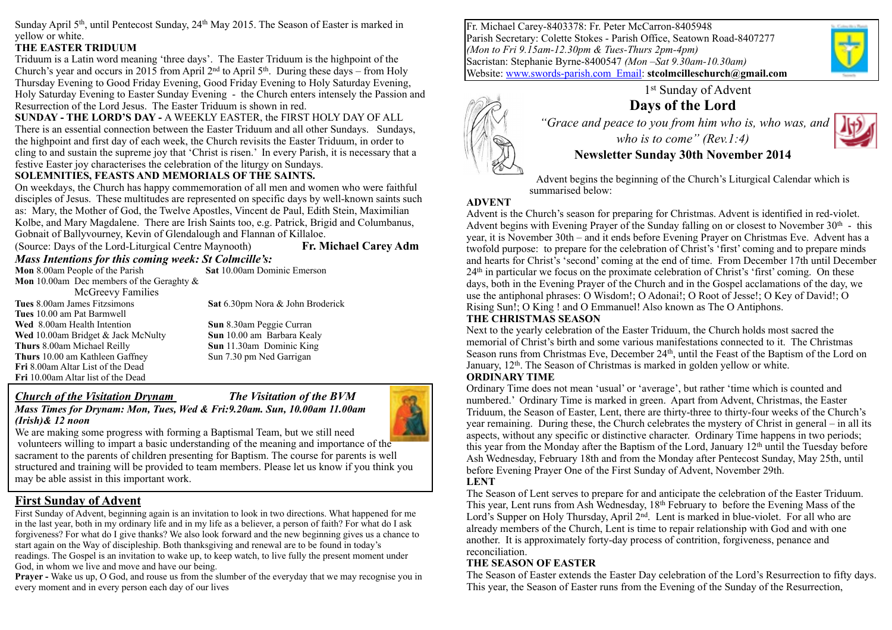Sunday April  $5<sup>th</sup>$ , until Pentecost Sunday, 24<sup>th</sup> May 2015. The Season of Easter is marked in yellow or white.

#### **THE EASTER TRIDUUM**

Triduum is a Latin word meaning 'three days'. The Easter Triduum is the highpoint of the Church's year and occurs in 2015 from April  $2<sup>nd</sup>$  to April 5<sup>th</sup>. During these days – from Holy Thursday Evening to Good Friday Evening, Good Friday Evening to Holy Saturday Evening, Holy Saturday Evening to Easter Sunday Evening - the Church enters intensely the Passion and Resurrection of the Lord Jesus. The Easter Triduum is shown in red.

**SUNDAY - THE LORD'S DAY -** A WEEKLY EASTER, the FIRST HOLY DAY OF ALL There is an essential connection between the Easter Triduum and all other Sundays. Sundays, the highpoint and first day of each week, the Church revisits the Easter Triduum, in order to cling to and sustain the supreme joy that 'Christ is risen.' In every Parish, it is necessary that a festive Easter joy characterises the celebration of the liturgy on Sundays.

#### **SOLEMNITIES, FEASTS AND MEMORIALS OF THE SAINTS.**

On weekdays, the Church has happy commemoration of all men and women who were faithful disciples of Jesus. These multitudes are represented on specific days by well-known saints such as: Mary, the Mother of God, the Twelve Apostles, Vincent de Paul, Edith Stein, Maximilian Kolbe, and Mary Magdalene. There are Irish Saints too, e.g. Patrick, Brigid and Columbanus, Gobnait of Ballyvourney, Kevin of Glendalough and Flannan of Killaloe.

(Source: Days of the Lord-Liturgical Centre Maynooth) **Fr. Michael Carey Adm**

### *Mass Intentions for this coming week: St Colmcille's:*

**Mon** 8.00am People of the Parish **Sat** 10.00am Dominic Emerson **Mon** 10.00am Dec members of the Geraghty & McGreevy Families

**Tues** 8.00am James Fitzsimons **Sat** 6.30pm Nora & John Broderick **Tues** 10.00 am Pat Barmwell **Wed** 8.00am Health Intention **Sun** 8.30am Peggie Curran **Wed** 10.00am Bridget & Jack McNulty **Sun** 10.00 am Barbara Kealy **Thurs** 8.00am Michael Reilly **Sun** 11.30am Dominic King **Thurs** 10.00 am Kathleen Gaffney Sun 7.30 pm Ned Garrigan **Fri** 8.00am Altar List of the Dead **Fri** 10.00am Altar list of the Dead

#### *Church of the Visitation Drynam**The Visitation of the BVM Mass Times for Drynam: Mon, Tues, Wed & Fri:9.20am. Sun, 10.00am 11.00am (Irish)& 12 noon*



We are making some progress with forming a Baptismal Team, but we still need volunteers willing to impart a basic understanding of the meaning and importance of the sacrament to the parents of children presenting for Baptism. The course for parents is well structured and training will be provided to team members. Please let us know if you think you may be able assist in this important work.

## **First Sunday of Advent**

First Sunday of Advent, beginning again is an invitation to look in two directions. What happened for me in the last year, both in my ordinary life and in my life as a believer, a person of faith? For what do I ask forgiveness? For what do I give thanks? We also look forward and the new beginning gives us a chance to start again on the Way of discipleship. Both thanksgiving and renewal are to be found in today's readings. The Gospel is an invitation to wake up, to keep watch, to live fully the present moment under God, in whom we live and move and have our being.

**Prayer -** Wake us up, O God, and rouse us from the slumber of the everyday that we may recognise you in every moment and in every person each day of our lives

Fr. Michael Carey-8403378: Fr. Peter McCarron-8405948 Parish Secretary: Colette Stokes - Parish Office, Seatown Road-8407277 *(Mon to Fri 9.15am-12.30pm & Tues-Thurs 2pm-4pm)* Sacristan: Stephanie Byrne-8400547 *(Mon –Sat 9.30am-10.30am)*  Website: [www.swords-parish.com Email:](http://www.swords-parish.com%20%20email) **stcolmcilleschurch@gmail.com**



1st Sunday of Advent **Days of the Lord**   *"Grace and peace to you from him who is, who was, and who is to come" (Rev.1:4)* 

### **Newsletter Sunday 30th November 2014**

Advent begins the beginning of the Church's Liturgical Calendar which is summarised below:

#### **ADVENT**

Advent is the Church's season for preparing for Christmas. Advent is identified in red-violet. Advent begins with Evening Prayer of the Sunday falling on or closest to November  $30<sup>th</sup>$  - this year, it is November 30th – and it ends before Evening Prayer on Christmas Eve. Advent has a twofold purpose: to prepare for the celebration of Christ's 'first' coming and to prepare minds and hearts for Christ's 'second' coming at the end of time. From December 17th until December  $24<sup>th</sup>$  in particular we focus on the proximate celebration of Christ's 'first' coming. On these days, both in the Evening Prayer of the Church and in the Gospel acclamations of the day, we use the antiphonal phrases: O Wisdom!; O Adonai!; O Root of Jesse!; O Key of David!; O Rising Sun!; O King ! and O Emmanuel! Also known as The O Antiphons.

#### **THE CHRISTMAS SEASON**

Next to the yearly celebration of the Easter Triduum, the Church holds most sacred the memorial of Christ's birth and some various manifestations connected to it. The Christmas Season runs from Christmas Eve, December 24<sup>th</sup>, until the Feast of the Baptism of the Lord on January, 12<sup>th</sup>. The Season of Christmas is marked in golden yellow or white.

#### **ORDINARY TIME**

Ordinary Time does not mean 'usual' or 'average', but rather 'time which is counted and numbered.' Ordinary Time is marked in green. Apart from Advent, Christmas, the Easter Triduum, the Season of Easter, Lent, there are thirty-three to thirty-four weeks of the Church's year remaining. During these, the Church celebrates the mystery of Christ in general – in all its aspects, without any specific or distinctive character. Ordinary Time happens in two periods; this year from the Monday after the Baptism of the Lord, January  $12<sup>th</sup>$  until the Tuesday before Ash Wednesday, February 18th and from the Monday after Pentecost Sunday, May 25th, until before Evening Prayer One of the First Sunday of Advent, November 29th. **LENT** 

The Season of Lent serves to prepare for and anticipate the celebration of the Easter Triduum. This year, Lent runs from Ash Wednesday,  $18<sup>th</sup>$  February to before the Evening Mass of the Lord's Supper on Holy Thursday, April  $2<sup>nd</sup>$ . Lent is marked in blue-violet. For all who are already members of the Church, Lent is time to repair relationship with God and with one another. It is approximately forty-day process of contrition, forgiveness, penance and reconciliation.

#### **THE SEASON OF EASTER**

The Season of Easter extends the Easter Day celebration of the Lord's Resurrection to fifty days. This year, the Season of Easter runs from the Evening of the Sunday of the Resurrection,